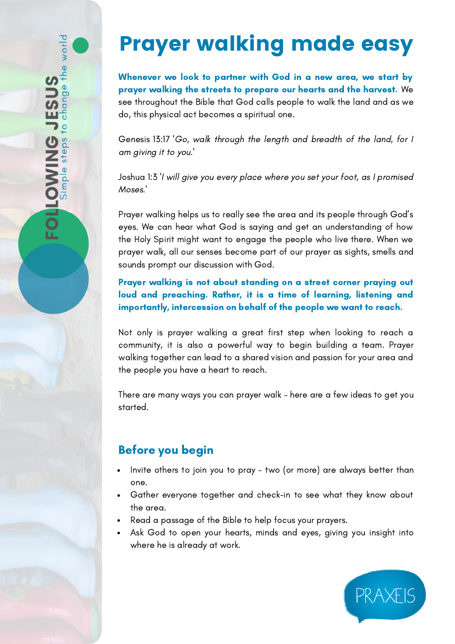## Prayer walking made easy

Whenever we look to partner with God in a new area, we start by prayer walking the streets to prepare our hearts and the harvest. We see throughout the Bible that God calls people to walk the land and as we do, this physical act becomes a spiritual one.

Genesis 13:17 'Go, walk through the length and breadth of the land, for I am giving it to you.'

Joshua 1:3 'I will give you every place where you set your foot, as I promised Moses.'

Prayer walking helps us to really see the area and its people through God's eyes. We can hear what God is saying and get an understanding of how the Holy Spirit might want to engage the people who live there. When we prayer walk, all our senses become part of our prayer as sights, smells and sounds prompt our discussion with God.

Prayer walking is not about standing on a street corner praying out loud and preaching. Rather, it is a time of learning, listening and importantly, intercession on behalf of the people we want to reach.

Not only is prayer walking a great first step when looking to reach a community, it is also a powerful way to begin building a team. Prayer walking together can lead to a shared vision and passion for your area and the people you have a heart to reach.

There are many ways you can prayer walk – here are a few ideas to get you started.

## Before you begin

- Invite others to join you to pray two (or more) are always better than one.
- Gather everyone together and check-in to see what they know about the area.
- Read a passage of the Bible to help focus your prayers.
- Ask God to open your hearts, minds and eyes, giving you insight into where he is already at work.